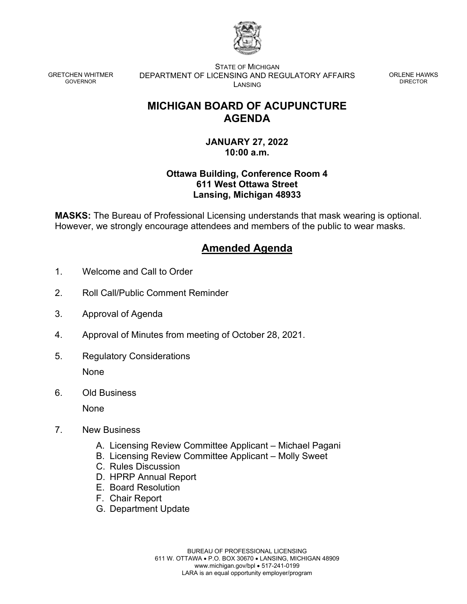

GRETCHEN WHITMER GOVERNOR

STATE OF MICHIGAN DEPARTMENT OF LICENSING AND REGULATORY AFFAIRS LANSING

ORLENE HAWKS DIRECTOR

# **MICHIGAN BOARD OF ACUPUNCTURE AGENDA**

## **JANUARY 27, 2022 10:00 a.m.**

## **Ottawa Building, Conference Room 4 611 West Ottawa Street Lansing, Michigan 48933**

**MASKS:** The Bureau of Professional Licensing understands that mask wearing is optional. However, we strongly encourage attendees and members of the public to wear masks.

# **Amended Agenda**

- 1. Welcome and Call to Order
- 2. Roll Call/Public Comment Reminder
- 3. Approval of Agenda
- 4. Approval of Minutes from meeting of October 28, 2021.
- 5. Regulatory Considerations None
- 6. Old Business

None

- 7. New Business
	- A. Licensing Review Committee Applicant Michael Pagani
	- B. Licensing Review Committee Applicant Molly Sweet
	- C. Rules Discussion
	- D. HPRP Annual Report
	- E. Board Resolution
	- F. Chair Report
	- G. Department Update

BUREAU OF PROFESSIONAL LICENSING 611 W. OTTAWA • P.O. BOX 30670 • LANSING, MICHIGAN 48909 www.michigan.gov/bpl • 517-241-0199 LARA is an equal opportunity employer/program